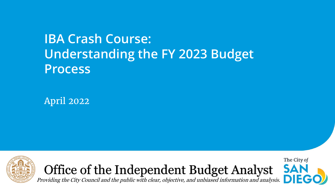### **IBA Crash Course: Understanding the FY 2023 Budget Process**

April 2022







Providing the City Council and the public with clear, objective, and unbiased information and analysis.  $\Box$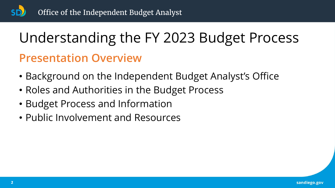# Understanding the FY 2023 Budget Process

#### **Presentation Overview**

- Background on the Independent Budget Analyst's Office
- Roles and Authorities in the Budget Process
- Budget Process and Information
- Public Involvement and Resources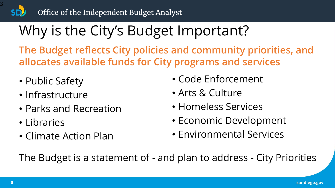# Why is the City's Budget Important?

**The Budget reflects City policies and community priorities, and allocates available funds for City programs and services**

- Public Safety
- Infrastructure
- Parks and Recreation
- Libraries
- Climate Action Plan
- Code Enforcement
- Arts & Culture
- Homeless Services
- Economic Development
- Environmental Services

The Budget is a statement of - and plan to address - City Priorities

3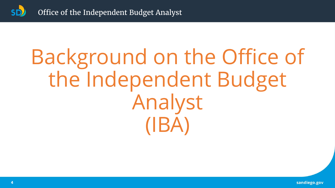

# Background on the Office of the Independent Budget Analyst (IBA)

sandiego.gov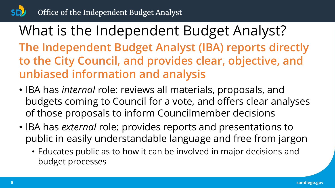What is the Independent Budget Analyst? **The Independent Budget Analyst (IBA) reports directly to the City Council, and provides clear, objective, and unbiased information and analysis**

- IBA has *internal* role: reviews all materials, proposals, and budgets coming to Council for a vote, and offers clear analyses of those proposals to inform Councilmember decisions
- IBA has *external* role: provides reports and presentations to public in easily understandable language and free from jargon
	- Educates public as to how it can be involved in major decisions and budget processes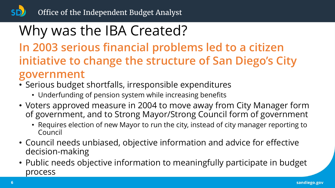## Why was the IBA Created?

**In 2003 serious financial problems led to a citizen initiative to change the structure of San Diego's City government**

- Serious budget shortfalls, irresponsible expenditures
	- Underfunding of pension system while increasing benefits
- Voters approved measure in 2004 to move away from City Manager form of government, and to Strong Mayor/Strong Council form of government
	- Requires election of new Mayor to run the city, instead of city manager reporting to Council
- Council needs unbiased, objective information and advice for effective decision-making
- Public needs objective information to meaningfully participate in budget process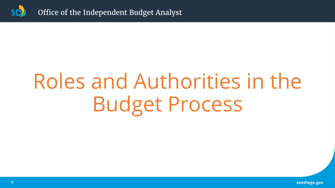

# Roles and Authorities in the Budget Process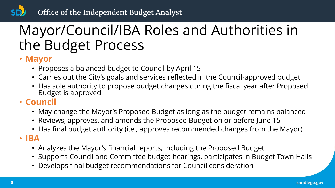## Mayor/Council/IBA Roles and Authorities in the Budget Process

#### • **Mayor**

- Proposes a balanced budget to Council by April 15
- Carries out the City's goals and services reflected in the Council-approved budget
- Has sole authority to propose budget changes during the fiscal year after Proposed Budget is approved

#### • **Council**

- May change the Mayor's Proposed Budget as long as the budget remains balanced
- Reviews, approves, and amends the Proposed Budget on or before June 15
- Has final budget authority (i.e., approves recommended changes from the Mayor)

#### • **IBA**

- Analyzes the Mayor's financial reports, including the Proposed Budget
- Supports Council and Committee budget hearings, participates in Budget Town Halls
- Develops final budget recommendations for Council consideration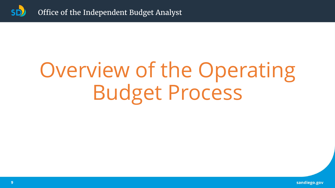

# Overview of the Operating Budget Process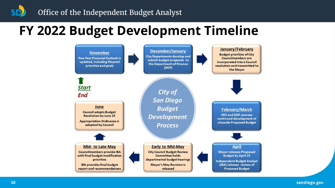### **FY 2022 Budget Development Timeline**



sandiego.gov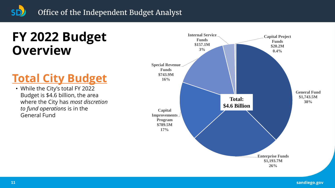### **FY 2022 Budget Overview**

#### **Total City Budget**

• While the City's total FY 2022 Budget is \$4.6 billion, the area where the City has *most discretion to fund operations* is in the General Fund

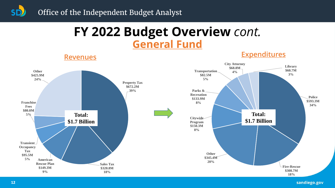#### **FY 2022 Budget Overview** *cont.* **General Fund**

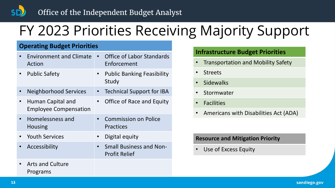### FY 2023 Priorities Receiving Majority Support

#### **Operating Budget Priorities**

| <b>Environment and Climate</b><br>Action                 |           | <b>Office of Labor Standards</b><br>Enforcement        |
|----------------------------------------------------------|-----------|--------------------------------------------------------|
| <b>Public Safety</b>                                     | $\bullet$ | <b>Public Banking Feasibility</b><br>Study             |
| <b>Neighborhood Services</b>                             |           | <b>Technical Support for IBA</b>                       |
| <b>Human Capital and</b><br><b>Employee Compensation</b> |           | Office of Race and Equity                              |
| Homelessness and<br><b>Housing</b>                       |           | <b>Commission on Police</b><br><b>Practices</b>        |
| <b>Provict Provices</b>                                  |           | Digital equity                                         |
| Accessibility                                            | $\bullet$ | <b>Small Business and Non-</b><br><b>Profit Relief</b> |
| <b>Arts and Culture</b>                                  |           |                                                        |

#### **Infrastructure Budget Priorities**

- Transportation and Mobility Safety
- Streets
- **Sidewalks**
- **Stormwater**
- **Facilities**
- Americans with Disabilities Act (ADA)

#### **Resource and Mitigation Priority**

Use of Excess Equity

Programs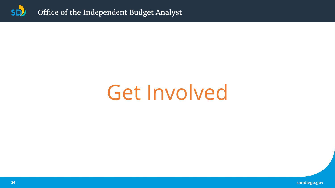

# Get Involved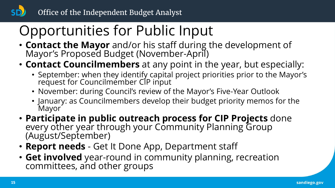# Opportunities for Public Input

- **Contact the Mayor** and/or his staff during the development of Mayor's Proposed Budget (November-April)
- **Contact Councilmembers** at any point in the year, but especially:
	- September: when they identify capital project priorities prior to the Mayor's request for Councilmember CIP input
	- November: during Council's review of the Mayor's Five-Year Outlook
	- January: as Councilmembers develop their budget priority memos for the **Mayor**
- **Participate in public outreach process for CIP Projects** done every other year through your Community Planning Group (August/September)
- **Report needs**  Get It Done App, Department staff
- **Get involved** year-round in community planning, recreation committees, and other groups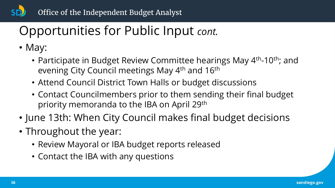### Opportunities for Public Input *cont.*

- May:
	- Participate in Budget Review Committee hearings May 4<sup>th</sup>-10<sup>th</sup>; and evening City Council meetings May 4th and 16th
	- Attend Council District Town Halls or budget discussions
	- Contact Councilmembers prior to them sending their final budget priority memoranda to the IBA on April 29th
- June 13th: When City Council makes final budget decisions
- Throughout the year:
	- Review Mayoral or IBA budget reports released
	- Contact the IBA with any questions